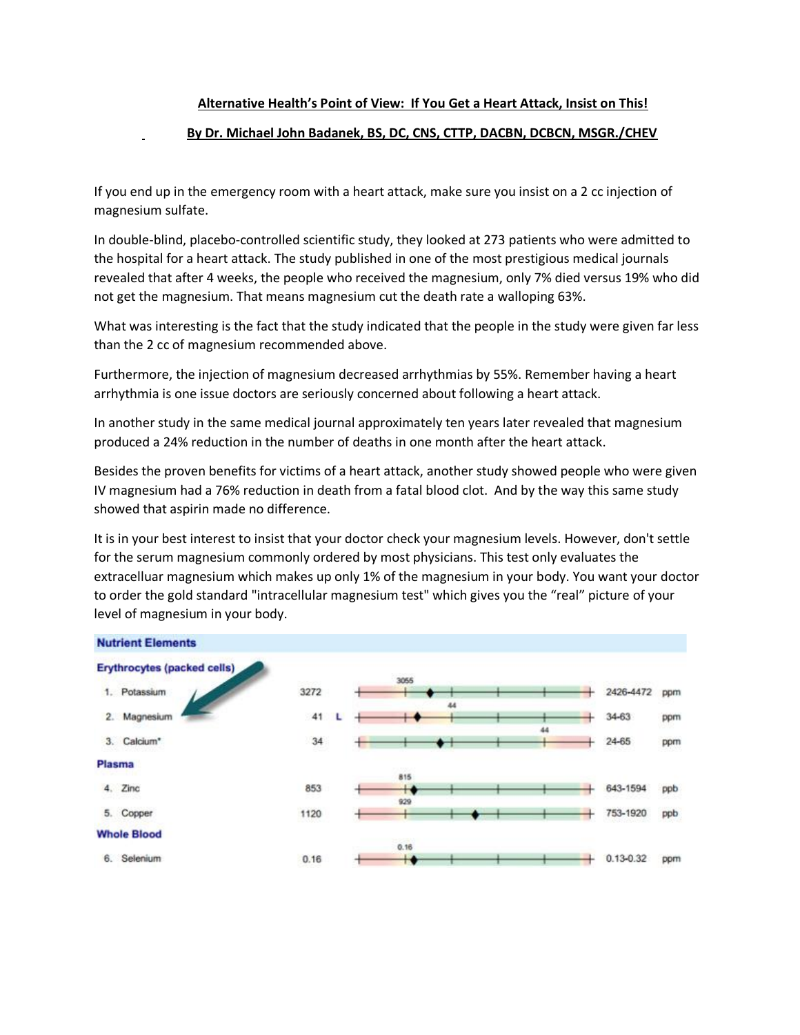## **Alternative Health's Point of View: If You Get a Heart Attack, Insist on This!**

## **By Dr. Michael John Badanek, BS, DC, CNS, CTTP, DACBN, DCBCN, MSGR./CHEV**

If you end up in the emergency room with a heart attack, make sure you insist on a 2 cc injection of magnesium sulfate.

In double-blind, placebo-controlled scientific study, they looked at 273 patients who were admitted to the hospital for a heart attack. The study published in one of the most prestigious medical journals revealed that after 4 weeks, the people who received the magnesium, only 7% died versus 19% who did not get the magnesium. That means magnesium cut the death rate a walloping 63%.

What was interesting is the fact that the study indicated that the people in the study were given far less than the 2 cc of magnesium recommended above.

Furthermore, the injection of magnesium decreased arrhythmias by 55%. Remember having a heart arrhythmia is one issue doctors are seriously concerned about following a heart attack.

In another study in the same medical journal approximately ten years later revealed that magnesium produced a 24% reduction in the number of deaths in one month after the heart attack.

Besides the proven benefits for victims of a heart attack, another study showed people who were given IV magnesium had a 76% reduction in death from a fatal blood clot. And by the way this same study showed that aspirin made no difference.

It is in your best interest to insist that your doctor check your magnesium levels. However, don't settle for the serum magnesium commonly ordered by most physicians. This test only evaluates the extracelluar magnesium which makes up only 1% of the magnesium in your body. You want your doctor to order the gold standard "intracellular magnesium test" which gives you the "real" picture of your level of magnesium in your body.